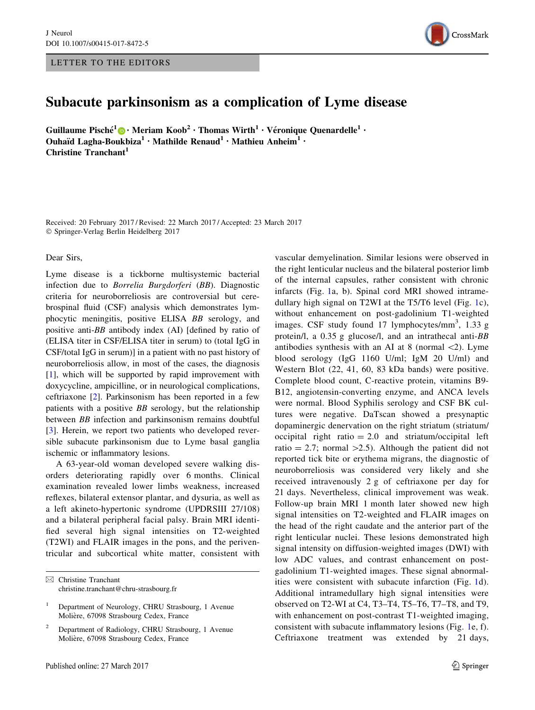## LETTER TO THE EDITORS



## Subacute parkinsonism as a complication of Lyme disease

Guillaume Pisché<sup>1</sup> $\bigcirc$  [•](http://orcid.org/0000-0002-0553-8788) Meriam Koob<sup>2</sup> • Thomas Wirth<sup>1</sup> • Véronique Quenardelle<sup>1</sup> • Ouhaïd Lagha-Boukbiza<sup>1</sup> • Mathilde Renaud<sup>1</sup> • Mathieu Anheim<sup>1</sup> • Christine Tranchant<sup>1</sup>

Received: 20 February 2017 / Revised: 22 March 2017 / Accepted: 23 March 2017 - Springer-Verlag Berlin Heidelberg 2017

Dear Sirs,

Lyme disease is a tickborne multisystemic bacterial infection due to Borrelia Burgdorferi (BB). Diagnostic criteria for neuroborreliosis are controversial but cerebrospinal fluid (CSF) analysis which demonstrates lymphocytic meningitis, positive ELISA BB serology, and positive anti-BB antibody index (AI) [defined by ratio of (ELISA titer in CSF/ELISA titer in serum) to (total IgG in CSF/total IgG in serum)] in a patient with no past history of neuroborreliosis allow, in most of the cases, the diagnosis [\[1](#page-4-0)], which will be supported by rapid improvement with doxycycline, ampicilline, or in neurological complications, ceftriaxone [\[2](#page-4-0)]. Parkinsonism has been reported in a few patients with a positive BB serology, but the relationship between BB infection and parkinsonism remains doubtful [\[3](#page-4-0)]. Herein, we report two patients who developed reversible subacute parkinsonism due to Lyme basal ganglia ischemic or inflammatory lesions.

A 63-year-old woman developed severe walking disorders deteriorating rapidly over 6 months. Clinical examination revealed lower limbs weakness, increased reflexes, bilateral extensor plantar, and dysuria, as well as a left akineto-hypertonic syndrome (UPDRSIII 27/108) and a bilateral peripheral facial palsy. Brain MRI identified several high signal intensities on T2-weighted (T2WI) and FLAIR images in the pons, and the periventricular and subcortical white matter, consistent with

 $\boxtimes$  Christine Tranchant christine.tranchant@chru-strasbourg.fr

vascular demyelination. Similar lesions were observed in the right lenticular nucleus and the bilateral posterior limb of the internal capsules, rather consistent with chronic infarcts (Fig. [1a](#page-1-0), b). Spinal cord MRI showed intramedullary high signal on T2WI at the T5/T6 level (Fig. [1c](#page-1-0)), without enhancement on post-gadolinium T1-weighted images. CSF study found 17 lymphocytes/mm<sup>3</sup>, 1.33 g protein/l, a 0.35 g glucose/l, and an intrathecal anti-BB antibodies synthesis with an AI at 8 (normal  $\langle 2 \rangle$ ). Lyme blood serology (IgG 1160 U/ml; IgM 20 U/ml) and Western Blot (22, 41, 60, 83 kDa bands) were positive. Complete blood count, C-reactive protein, vitamins B9- B12, angiotensin-converting enzyme, and ANCA levels were normal. Blood Syphilis serology and CSF BK cultures were negative. DaTscan showed a presynaptic dopaminergic denervation on the right striatum (striatum/ occipital right ratio  $= 2.0$  and striatum/occipital left ratio = 2.7; normal  $>2.5$ ). Although the patient did not reported tick bite or erythema migrans, the diagnostic of neuroborreliosis was considered very likely and she received intravenously 2 g of ceftriaxone per day for 21 days. Nevertheless, clinical improvement was weak. Follow-up brain MRI 1 month later showed new high signal intensities on T2-weighted and FLAIR images on the head of the right caudate and the anterior part of the right lenticular nuclei. These lesions demonstrated high signal intensity on diffusion-weighted images (DWI) with low ADC values, and contrast enhancement on postgadolinium T1-weighted images. These signal abnormalities were consistent with subacute infarction (Fig. [1](#page-1-0)d). Additional intramedullary high signal intensities were observed on T2-WI at C4, T3–T4, T5–T6, T7–T8, and T9, with enhancement on post-contrast T1-weighted imaging, consistent with subacute inflammatory lesions (Fig. [1](#page-1-0)e, f). Ceftriaxone treatment was extended by 21 days,

<sup>1</sup> Department of Neurology, CHRU Strasbourg, 1 Avenue Molière, 67098 Strasbourg Cedex, France

<sup>2</sup> Department of Radiology, CHRU Strasbourg, 1 Avenue Molière, 67098 Strasbourg Cedex, France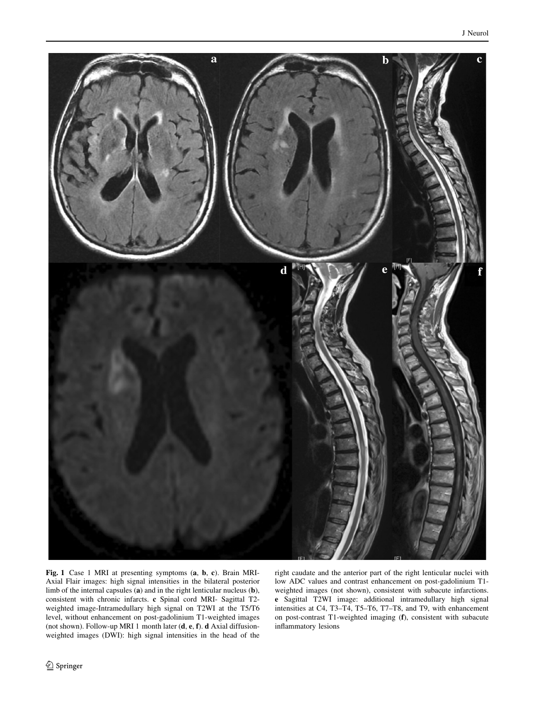<span id="page-1-0"></span>

Fig. 1 Case 1 MRI at presenting symptoms (a, b, c). Brain MRI-Axial Flair images: high signal intensities in the bilateral posterior limb of the internal capsules (a) and in the right lenticular nucleus (b), consistent with chronic infarcts. c Spinal cord MRI- Sagittal T2 weighted image-Intramedullary high signal on T2WI at the T5/T6 level, without enhancement on post-gadolinium T1-weighted images (not shown). Follow-up MRI 1 month later (d, e, f). d Axial diffusionweighted images (DWI): high signal intensities in the head of the right caudate and the anterior part of the right lenticular nuclei with low ADC values and contrast enhancement on post-gadolinium T1 weighted images (not shown), consistent with subacute infarctions. e Sagittal T2WI image: additional intramedullary high signal intensities at C4, T3–T4, T5–T6, T7–T8, and T9, with enhancement on post-contrast T1-weighted imaging (f), consistent with subacute inflammatory lesions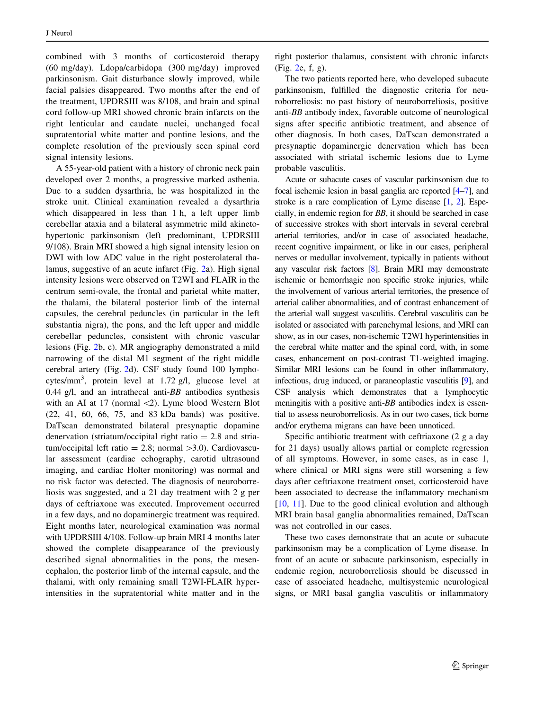combined with 3 months of corticosteroid therapy (60 mg/day). Ldopa/carbidopa (300 mg/day) improved parkinsonism. Gait disturbance slowly improved, while facial palsies disappeared. Two months after the end of the treatment, UPDRSIII was 8/108, and brain and spinal cord follow-up MRI showed chronic brain infarcts on the right lenticular and caudate nuclei, unchanged focal supratentorial white matter and pontine lesions, and the complete resolution of the previously seen spinal cord signal intensity lesions.

A 55-year-old patient with a history of chronic neck pain developed over 2 months, a progressive marked asthenia. Due to a sudden dysarthria, he was hospitalized in the stroke unit. Clinical examination revealed a dysarthria which disappeared in less than 1 h, a left upper limb cerebellar ataxia and a bilateral asymmetric mild akinetohypertonic parkinsonism (left predominant, UPDRSIII 9/108). Brain MRI showed a high signal intensity lesion on DWI with low ADC value in the right posterolateral thalamus, suggestive of an acute infarct (Fig. [2](#page-3-0)a). High signal intensity lesions were observed on T2WI and FLAIR in the centrum semi-ovale, the frontal and parietal white matter, the thalami, the bilateral posterior limb of the internal capsules, the cerebral peduncles (in particular in the left substantia nigra), the pons, and the left upper and middle cerebellar peduncles, consistent with chronic vascular lesions (Fig. [2](#page-3-0)b, c). MR angiography demonstrated a mild narrowing of the distal M1 segment of the right middle cerebral artery (Fig. [2](#page-3-0)d). CSF study found 100 lymphocytes/mm<sup>3</sup>, protein level at 1.72 g/l, glucose level at 0.44 g/l, and an intrathecal anti- $BB$  antibodies synthesis with an AI at 17 (normal  $\langle 2 \rangle$ ). Lyme blood Western Blot (22, 41, 60, 66, 75, and 83 kDa bands) was positive. DaTscan demonstrated bilateral presynaptic dopamine denervation (striatum/occipital right ratio  $= 2.8$  and striatum/occipital left ratio = 2.8; normal  $>3.0$ ). Cardiovascular assessment (cardiac echography, carotid ultrasound imaging, and cardiac Holter monitoring) was normal and no risk factor was detected. The diagnosis of neuroborreliosis was suggested, and a 21 day treatment with 2 g per days of ceftriaxone was executed. Improvement occurred in a few days, and no dopaminergic treatment was required. Eight months later, neurological examination was normal with UPDRSIII 4/108. Follow-up brain MRI 4 months later showed the complete disappearance of the previously described signal abnormalities in the pons, the mesencephalon, the posterior limb of the internal capsule, and the thalami, with only remaining small T2WI-FLAIR hyperintensities in the supratentorial white matter and in the

right posterior thalamus, consistent with chronic infarcts (Fig. [2e](#page-3-0), f, g).

The two patients reported here, who developed subacute parkinsonism, fulfilled the diagnostic criteria for neuroborreliosis: no past history of neuroborreliosis, positive anti-BB antibody index, favorable outcome of neurological signs after specific antibiotic treatment, and absence of other diagnosis. In both cases, DaTscan demonstrated a presynaptic dopaminergic denervation which has been associated with striatal ischemic lesions due to Lyme probable vasculitis.

Acute or subacute cases of vascular parkinsonism due to focal ischemic lesion in basal ganglia are reported [\[4–7\]](#page-4-0), and stroke is a rare complication of Lyme disease [\[1,](#page-4-0) [2\]](#page-4-0). Especially, in endemic region for BB, it should be searched in case of successive strokes with short intervals in several cerebral arterial territories, and/or in case of associated headache, recent cognitive impairment, or like in our cases, peripheral nerves or medullar involvement, typically in patients without any vascular risk factors [\[8\]](#page-4-0). Brain MRI may demonstrate ischemic or hemorrhagic non specific stroke injuries, while the involvement of various arterial territories, the presence of arterial caliber abnormalities, and of contrast enhancement of the arterial wall suggest vasculitis. Cerebral vasculitis can be isolated or associated with parenchymal lesions, and MRI can show, as in our cases, non-ischemic T2WI hyperintensities in the cerebral white matter and the spinal cord, with, in some cases, enhancement on post-contrast T1-weighted imaging. Similar MRI lesions can be found in other inflammatory, infectious, drug induced, or paraneoplastic vasculitis [\[9\]](#page-4-0), and CSF analysis which demonstrates that a lymphocytic meningitis with a positive anti-BB antibodies index is essential to assess neuroborreliosis. As in our two cases, tick borne and/or erythema migrans can have been unnoticed.

Specific antibiotic treatment with ceftriaxone (2 g a day for 21 days) usually allows partial or complete regression of all symptoms. However, in some cases, as in case 1, where clinical or MRI signs were still worsening a few days after ceftriaxone treatment onset, corticosteroid have been associated to decrease the inflammatory mechanism [\[10](#page-4-0), [11\]](#page-4-0). Due to the good clinical evolution and although MRI brain basal ganglia abnormalities remained, DaTscan was not controlled in our cases.

These two cases demonstrate that an acute or subacute parkinsonism may be a complication of Lyme disease. In front of an acute or subacute parkinsonism, especially in endemic region, neuroborreliosis should be discussed in case of associated headache, multisystemic neurological signs, or MRI basal ganglia vasculitis or inflammatory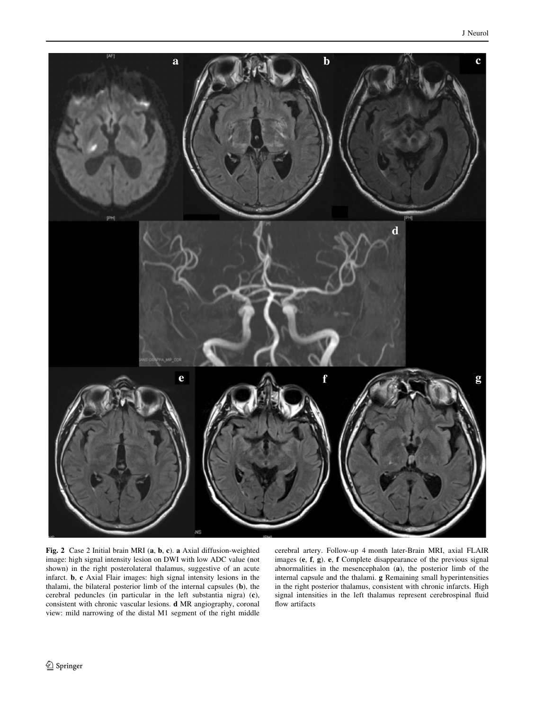<span id="page-3-0"></span>

Fig. 2 Case 2 Initial brain MRI (a, b, c). a Axial diffusion-weighted image: high signal intensity lesion on DWI with low ADC value (not shown) in the right posterolateral thalamus, suggestive of an acute infarct. b, c Axial Flair images: high signal intensity lesions in the thalami, the bilateral posterior limb of the internal capsules (b), the cerebral peduncles (in particular in the left substantia nigra) (c), consistent with chronic vascular lesions. d MR angiography, coronal view: mild narrowing of the distal M1 segment of the right middle cerebral artery. Follow-up 4 month later-Brain MRI, axial FLAIR images (e, f, g). e, f Complete disappearance of the previous signal abnormalities in the mesencephalon (a), the posterior limb of the internal capsule and the thalami. g Remaining small hyperintensities in the right posterior thalamus, consistent with chronic infarcts. High signal intensities in the left thalamus represent cerebrospinal fluid flow artifacts